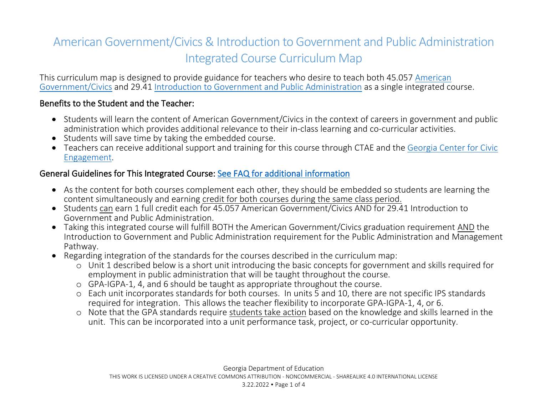# American Government/Civics & Introduction to Government and Public Administration Integrated Course Curriculum Map

This curriculum map is designed to provide guidance for teachers who desire to teach both 45.057 [American](https://lor2.gadoe.org/gadoe/file/e00d9096-e795-4208-8856-c968729342d4/1/Social-Studies-American-Government-Civics-Georgia-Standards.pdf)  [Government/Civics](https://lor2.gadoe.org/gadoe/file/e00d9096-e795-4208-8856-c968729342d4/1/Social-Studies-American-Government-Civics-Georgia-Standards.pdf) and 29.41 [Introduction to Government and Public Administration](https://www.gadoe.org/Curriculum-Instruction-and-Assessment/CTAE/Documents/Introduction-to-Government-Public-Administration.pdf) as a single integrated course.

## Benefits to the Student and the Teacher:

- Students will learn the content of American Government/Civics in the context of careers in government and public administration which provides additional relevance to their in-class learning and co-curricular activities.
- Students will save time by taking the embedded course.
- Teachers can receive additional support and training for this course through CTAE and the [Georgia Center for Civic](https://georgiacivics.org/)  [Engagement.](https://georgiacivics.org/)

# General Guidelines for This Integrated Course: [See FAQ for additional information](https://lor2.gadoe.org/gadoe/file/fe6102a8-e3a3-4f8c-b710-2e7d9a670fc8/1/Public-Management-and-Administration-Social-Studies-Embedded-Pathway-FAQ.pdf)

- As the content for both courses complement each other, they should be embedded so students are learning the content simultaneously and earning credit for both courses during the same class period.
- Students can earn 1 full credit each for 45.057 American Government/Civics AND for 29.41 Introduction to Government and Public Administration.
- Taking this integrated course will fulfill BOTH the American Government/Civics graduation requirement AND the Introduction to Government and Public Administration requirement for the Public Administration and Management Pathway.
- Regarding integration of the standards for the courses described in the curriculum map:
	- o Unit 1 described below is a short unit introducing the basic concepts for government and skills required for employment in public administration that will be taught throughout the course.
	- o GPA-IGPA-1, 4, and 6 should be taught as appropriate throughout the course.
	- o Each unit incorporates standards for both courses. In units 5 and 10, there are not specific IPS standards required for integration. This allows the teacher flexibility to incorporate GPA-IGPA-1, 4, or 6.
	- o Note that the GPA standards require students take action based on the knowledge and skills learned in the unit. This can be incorporated into a unit performance task, project, or co-curricular opportunity.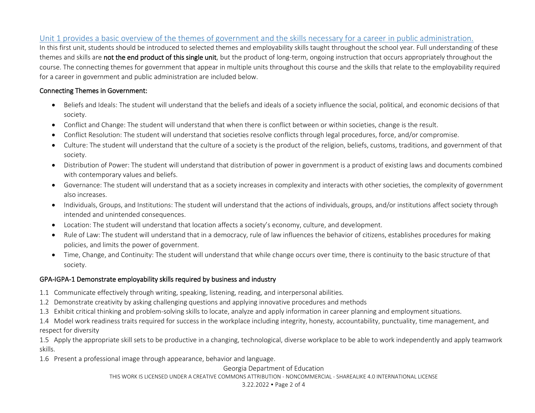## Unit 1 provides a basic overview of the themes of government and the skills necessary for a career in public administration.

In this first unit, students should be introduced to selected themes and employability skills taught throughout the school year. Full understanding of these themes and skills are not the end product of this single unit, but the product of long-term, ongoing instruction that occurs appropriately throughout the course. The connecting themes for government that appear in multiple units throughout this course and the skills that relate to the employability required for a career in government and public administration are included below.

#### Connecting Themes in Government:

- Beliefs and Ideals: The student will understand that the beliefs and ideals of a society influence the social, political, and economic decisions of that society.
- Conflict and Change: The student will understand that when there is conflict between or within societies, change is the result.
- Conflict Resolution: The student will understand that societies resolve conflicts through legal procedures, force, and/or compromise.
- Culture: The student will understand that the culture of a society is the product of the religion, beliefs, customs, traditions, and government of that society.
- Distribution of Power: The student will understand that distribution of power in government is a product of existing laws and documents combined with contemporary values and beliefs.
- Governance: The student will understand that as a society increases in complexity and interacts with other societies, the complexity of government also increases.
- Individuals, Groups, and Institutions: The student will understand that the actions of individuals, groups, and/or institutions affect society through intended and unintended consequences.
- Location: The student will understand that location affects a society's economy, culture, and development.
- Rule of Law: The student will understand that in a democracy, rule of law influences the behavior of citizens, establishes procedures for making policies, and limits the power of government.
- Time, Change, and Continuity: The student will understand that while change occurs over time, there is continuity to the basic structure of that society.

#### GPA-IGPA-1 Demonstrate employability skills required by business and industry

- 1.1 Communicate effectively through writing, speaking, listening, reading, and interpersonal abilities.
- 1.2 Demonstrate creativity by asking challenging questions and applying innovative procedures and methods
- 1.3 Exhibit critical thinking and problem-solving skills to locate, analyze and apply information in career planning and employment situations.

1.4 Model work readiness traits required for success in the workplace including integrity, honesty, accountability, punctuality, time management, and respect for diversity

1.5 Apply the appropriate skill sets to be productive in a changing, technological, diverse workplace to be able to work independently and apply teamwork skills.

1.6 Present a professional image through appearance, behavior and language.

## Georgia Department of Education THIS WORK IS LICENSED UNDER A CREATIVE COMMONS ATTRIBUTION - NONCOMMERCIAL - SHAREALIKE 4.0 INTERNATIONAL LICENSE

3.22.2022 Page 2 of 4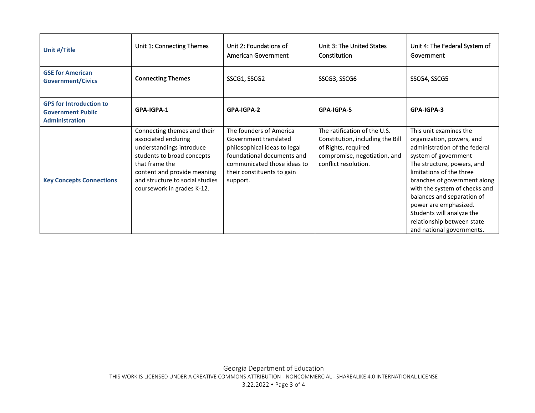| Unit #/Title                                                                        | Unit 1: Connecting Themes                                                                                                                                                                                                      | Unit 2: Foundations of<br>American Government                                                                                                                                           | Unit 3: The United States<br>Constitution                                                                                                       | Unit 4: The Federal System of<br>Government                                                                                                                                                                                                                                                                                                                                            |
|-------------------------------------------------------------------------------------|--------------------------------------------------------------------------------------------------------------------------------------------------------------------------------------------------------------------------------|-----------------------------------------------------------------------------------------------------------------------------------------------------------------------------------------|-------------------------------------------------------------------------------------------------------------------------------------------------|----------------------------------------------------------------------------------------------------------------------------------------------------------------------------------------------------------------------------------------------------------------------------------------------------------------------------------------------------------------------------------------|
| <b>GSE for American</b><br><b>Government/Civics</b>                                 | <b>Connecting Themes</b>                                                                                                                                                                                                       | SSCG1, SSCG2                                                                                                                                                                            | SSCG3, SSCG6                                                                                                                                    | SSCG4, SSCG5                                                                                                                                                                                                                                                                                                                                                                           |
| <b>GPS for Introduction to</b><br><b>Government Public</b><br><b>Administration</b> | GPA-IGPA-1                                                                                                                                                                                                                     | GPA-IGPA-2                                                                                                                                                                              | GPA-IGPA-5                                                                                                                                      | GPA-IGPA-3                                                                                                                                                                                                                                                                                                                                                                             |
| <b>Key Concepts Connections</b>                                                     | Connecting themes and their<br>associated enduring<br>understandings introduce<br>students to broad concepts<br>that frame the<br>content and provide meaning<br>and structure to social studies<br>coursework in grades K-12. | The founders of America<br>Government translated<br>philosophical ideas to legal<br>foundational documents and<br>communicated those ideas to<br>their constituents to gain<br>support. | The ratification of the U.S.<br>Constitution, including the Bill<br>of Rights, required<br>compromise, negotiation, and<br>conflict resolution. | This unit examines the<br>organization, powers, and<br>administration of the federal<br>system of government<br>The structure, powers, and<br>limitations of the three<br>branches of government along<br>with the system of checks and<br>balances and separation of<br>power are emphasized.<br>Students will analyze the<br>relationship between state<br>and national governments. |